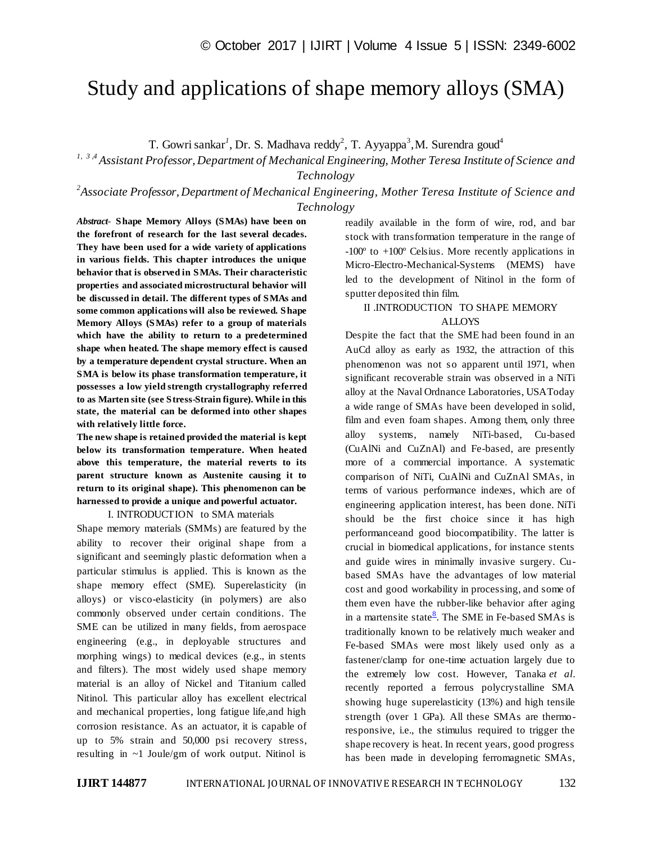# Study and applications of shape memory alloys (SMA)

T. Gowri sankar<sup>1</sup>, Dr. S. Madhava reddy<sup>2</sup>, T. Ayyappa<sup>3</sup>, M. Surendra goud<sup>4</sup>

*1, 3 ,4 Assistant Professor, Department of Mechanical Engineering, Mother Teresa Institute of Science and Technology*

*2 Associate Professor, Department of Mechanical Engineering, Mother Teresa Institute of Science and Technology*

*Abstract*- **Shape Memory Alloys (SMAs) have been on the forefront of research for the last several decades. They have been used for a wide variety of applications in various fields. This chapter introduces the unique behavior that is observed in SMAs. Their characteristic properties and associated microstructural behavior will be discussed in detail. The different types of SMAs and some common applications will also be reviewed***.* **Shape Memory Alloys (SMAs) refer to a group of materials which have the ability to return to a predetermined shape when heated. The shape memory effect is caused by a temperature dependent crystal structure. When an SMA is below its phase transformation temperature, it possesses a low yield strength crystallography referred to as Marten site (see Stress-Strain figure). While in this state, the material can be deformed into other shapes with relatively little force.**

**The new shape is retained provided the material is kept below its transformation temperature. When heated above this temperature, the material reverts to its parent structure known as Austenite causing it to return to its original shape). This phenomenon can be harnessed to provide a unique and powerful actuator.**

I. INTRODUCTION to SMA materials

Shape memory materials (SMMs) are featured by the ability to recover their original shape from a significant and seemingly plastic deformation when a particular stimulus is applied. This is known as the shape memory effect (SME). Superelasticity (in alloys) or visco-elasticity (in polymers) are also commonly observed under certain conditions. The SME can be utilized in many fields, from aerospace engineering (e.g., in deployable structures and morphing wings) to medical devices (e.g., in stents and filters). The most widely used shape memory material is an alloy of Nickel and Titanium called Nitinol. This particular alloy has excellent electrical and mechanical properties, long fatigue life,and high corrosion resistance. As an actuator, it is capable of up to 5% strain and 50,000 psi recovery stress, resulting in ~1 Joule/gm of work output. Nitinol is

readily available in the form of wire, rod, and bar stock with transformation temperature in the range of -100º to +100º Celsius. More recently applications in Micro-Electro-Mechanical-Systems (MEMS) have led to the development of Nitinol in the form of sputter deposited thin film.

# II .INTRODUCTION TO SHAPE MEMORY **ALLOYS**

Despite the fact that the SME had been found in an AuCd alloy as early as 1932, the attraction of this phenomenon was not so apparent until 1971, when significant recoverable strain was observed in a NiTi alloy at the Naval Ordnance Laboratories, USAToday a wide range of SMAs have been developed in solid, film and even foam shapes. Among them, only three alloy systems, namely NiTi-based, Cu-based (CuAlNi and CuZnAl) and Fe-based, are presently more of a commercial importance. A systematic comparison of NiTi, CuAlNi and CuZnAl SMAs, in terms of various performance indexes, which are of engineering application interest, has been done. NiTi should be the first choice since it has high performanceand good biocompatibility. The latter is crucial in biomedical applications, for instance stents and guide wires in minimally invasive surgery. Cubased SMAs have the advantages of low material cost and good workability in processing, and some of them even have the rubber-like behavior after aging in a mart[e](http://www.sciencedirect.com/science/article/pii/S1369702110701280#bib8)nsite state $\frac{8}{3}$ . The SME in Fe-based SMAs is traditionally known to be relatively much weaker and Fe-based SMAs were most likely used only as a fastener/clamp for one-time actuation largely due to the extremely low cost. However, Tanaka *et al.* recently reported a ferrous polycrystalline SMA showing huge superelasticity (13%) and high tensile strength (over 1 GPa). All these SMAs are thermoresponsive, i.e., the stimulus required to trigger the shape recovery is heat. In recent years, good progress has been made in developing ferromagnetic SMAs,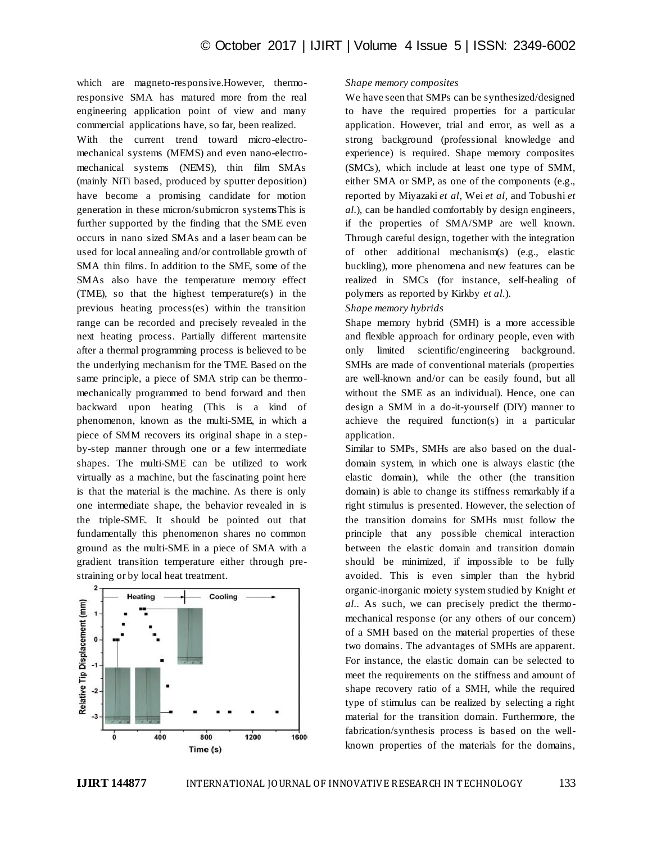which are magneto-responsive.However, thermoresponsive SMA has matured more from the real engineering application point of view and many commercial applications have, so far, been realized.

With the current trend toward micro-electromechanical systems (MEMS) and even nano-electromechanical systems (NEMS), thin film SMAs (mainly NiTi based, produced by sputter deposition) have become a promising candidate for motion generation in these micron/submicron systemsThis is further supported by the finding that the SME even occurs in nano sized SMAs and a laser beam can be used for local annealing and/or controllable growth of SMA thin films. In addition to the SME, some of the SMAs also have the temperature memory effect (TME), so that the highest temperature(s) in the previous heating process(es) within the transition range can be recorded and precisely revealed in the next heating process. Partially different martensite after a thermal programming process is believed to be the underlying mechanism for the TME. Based on the same principle, a piece of SMA strip can be thermomechanically programmed to bend forward and then backward upon heating (This is a kind of phenomenon, known as the multi-SME, in which a piece of SMM recovers its original shape in a stepby-step manner through one or a few intermediate shapes. The multi-SME can be utilized to work virtually as a machine, but the fascinating point here is that the material is the machine. As there is only one intermediate shape, the behavior revealed in is the triple-SME. It should be pointed out that fundamentally this phenomenon shares no common ground as the multi-SME in a piece of SMA with a gradient transition temperature either through prestraining or by local heat treatment.



#### *Shape memory composites*

We have seen that SMPs can be synthesized/designed to have the required properties for a particular application. However, trial and error, as well as a strong background (professional knowledge and experience) is required. Shape memory composites (SMCs), which include at least one type of SMM, either SMA or SMP, as one of the components (e.g., reported by Miyazaki *et al*, Wei *et al*, and Tobushi *et al.*), can be handled comfortably by design engineers, if the properties of SMA/SMP are well known. Through careful design, together with the integration of other additional mechanism(s) (e.g., elastic buckling), more phenomena and new features can be realized in SMCs (for instance, self-healing of polymers as reported by Kirkby *et al.*).

## *Shape memory hybrids*

Shape memory hybrid (SMH) is a more accessible and flexible approach for ordinary people, even with only limited scientific/engineering background. SMHs are made of conventional materials (properties are well-known and/or can be easily found, but all without the SME as an individual). Hence, one can design a SMM in a do-it-yourself (DIY) manner to achieve the required function(s) in a particular application.

Similar to SMPs, SMHs are also based on the dualdomain system, in which one is always elastic (the elastic domain), while the other (the transition domain) is able to change its stiffness remarkably if a right stimulus is presented. However, the selection of the transition domains for SMHs must follow the principle that any possible chemical interaction between the elastic domain and transition domain should be minimized, if impossible to be fully avoided. This is even simpler than the hybrid organic-inorganic moiety system studied by Knight *et al.*. As such, we can precisely predict the thermomechanical response (or any others of our concern) of a SMH based on the material properties of these two domains. The advantages of SMHs are apparent. For instance, the elastic domain can be selected to meet the requirements on the stiffness and amount of shape recovery ratio of a SMH, while the required type of stimulus can be realized by selecting a right material for the transition domain. Furthermore, the fabrication/synthesis process is based on the wellknown properties of the materials for the domains,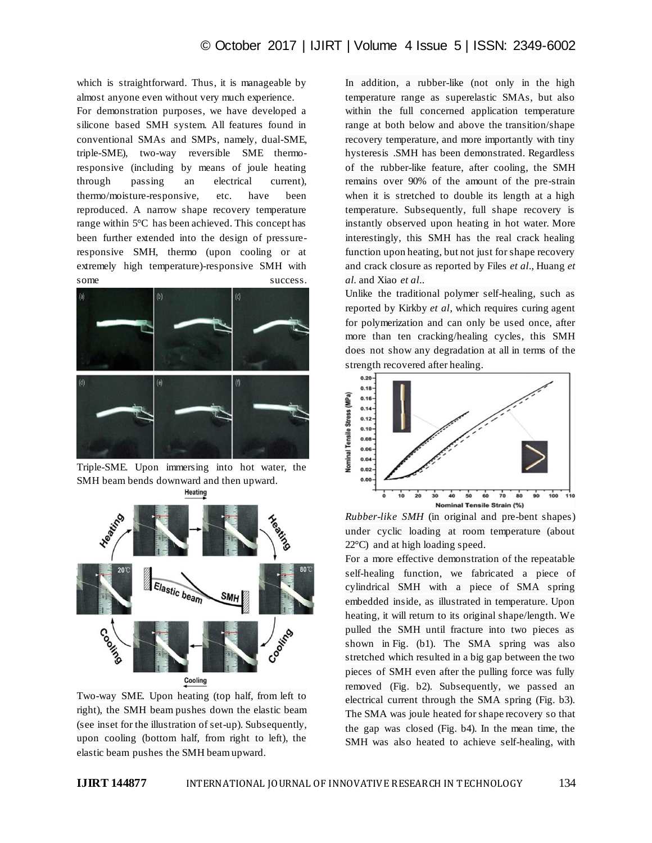which is straightforward. Thus, it is manageable by almost anyone even without very much experience.

For demonstration purposes, we have developed a silicone based SMH system. All features found in conventional SMAs and SMPs, namely, dual-SME, triple-SME), two-way reversible SME thermoresponsive (including by means of joule heating through passing an electrical current), thermo/moisture-responsive, etc. have been reproduced. A narrow shape recovery temperature range within 5°C has been achieved. This concept has been further extended into the design of pressureresponsive SMH, thermo (upon cooling or at extremely high temperature)-responsive SMH with some success.



Triple-SME. Upon immersing into hot water, the SMH beam bends downward and then upward. Heating



Two-way SME. Upon heating (top half, from left to right), the SMH beam pushes down the elastic beam (see inset for the illustration of set-up). Subsequently, upon cooling (bottom half, from right to left), the elastic beam pushes the SMH beam upward.

In addition, a rubber-like (not only in the high temperature range as superelastic SMAs, but also within the full concerned application temperature range at both below and above the transition/shape recovery temperature, and more importantly with tiny hysteresis .SMH has been demonstrated. Regardless of the rubber-like feature, after cooling, the SMH remains over 90% of the amount of the pre-strain when it is stretched to double its length at a high temperature. Subsequently, full shape recovery is instantly observed upon heating in hot water. More interestingly, this SMH has the real crack healing function upon heating, but not just for shape recovery and crack closure as reported by Files *et al.*, Huang *et al.* and Xiao *et al.*.

Unlike the traditional polymer self-healing, such as reported by Kirkby *et al*, which requires curing agent for polymerization and can only be used once, after more than ten cracking/healing cycles, this SMH does not show any degradation at all in terms of the strength recovered after healing.



*Rubber-like SMH* (in original and pre-bent shapes) under cyclic loading at room temperature (about 22°C) and at high loading speed.

For a more effective demonstration of the repeatable self-healing function, we fabricated a piece of cylindrical SMH with a piece of SMA spring embedded inside, as illustrated in temperature. Upon heating, it will return to its original shape/length. We pulled the SMH until fracture into two pieces as shown in Fig. (b1). The SMA spring was also stretched which resulted in a big gap between the two pieces of SMH even after the pulling force was fully removed (Fig. b2). Subsequently, we passed an electrical current through the SMA spring (Fig. b3). The SMA was joule heated for shape recovery so that the gap was closed (Fig. b4). In the mean time, the SMH was also heated to achieve self-healing, with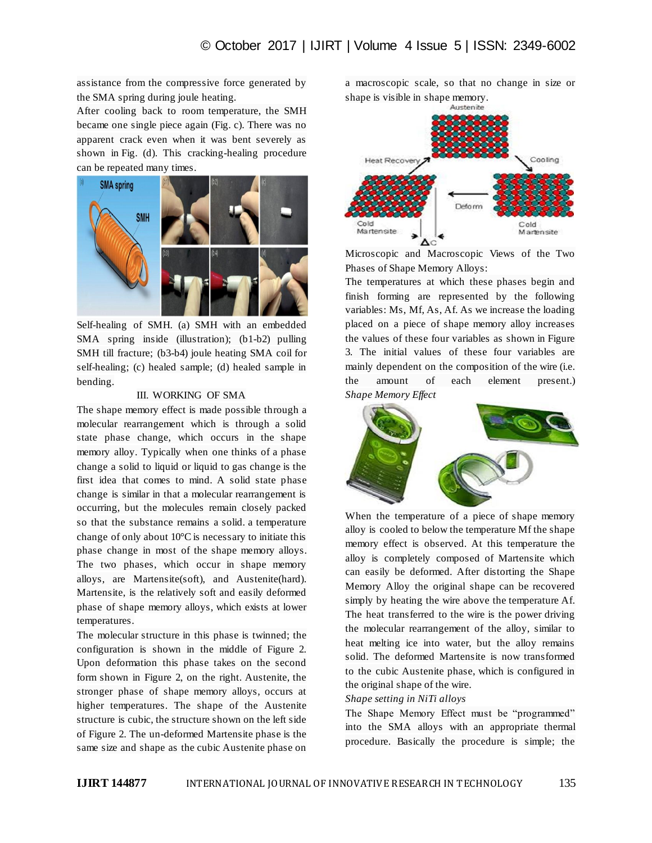assistance from the compressive force generated by the SMA spring during joule heating.

After cooling back to room temperature, the SMH became one single piece again (Fig. c). There was no apparent crack even when it was bent severely as shown in Fig. (d). This cracking-healing procedure can be repeated many times.



Self-healing of SMH. (a) SMH with an embedded SMA spring inside (illustration); (b1-b2) pulling SMH till fracture; (b3-b4) joule heating SMA coil for self-healing; (c) healed sample; (d) healed sample in bending.

# III. WORKING OF SMA

The shape memory effect is made possible through a molecular rearrangement which is through a solid state phase change, which occurs in the shape memory alloy. Typically when one thinks of a phase change a solid to liquid or liquid to gas change is the first idea that comes to mind. A solid state phase change is similar in that a molecular rearrangement is occurring, but the molecules remain closely packed so that the substance remains a solid. a temperature change of only about  $10^{\circ}$ C is necessary to initiate this phase change in most of the shape memory alloys. The two phases, which occur in shape memory alloys, are Martensite(soft), and Austenite(hard). Martensite, is the relatively soft and easily deformed phase of shape memory alloys, which exists at lower temperatures.

The molecular structure in this phase is twinned; the configuration is shown in the middle of Figure 2. Upon deformation this phase takes on the second form shown in Figure 2, on the right. Austenite, the stronger phase of shape memory alloys, occurs at higher temperatures. The shape of the Austenite structure is cubic, the structure shown on the left side of Figure 2. The un-deformed Martensite phase is the same size and shape as the cubic Austenite phase on

a macroscopic scale, so that no change in size or shape is visible in shape memory.



Microscopic and Macroscopic Views of the Two Phases of Shape Memory Alloys:

The temperatures at which these phases begin and finish forming are represented by the following variables: Ms, Mf, As, Af. As we increase the loading placed on a piece of shape memory alloy increases the values of these four variables as shown in Figure 3. The initial values of these four variables are mainly dependent on the composition of the wire (i.e. the amount of each element present.) *Shape Memory Effect*



When the temperature of a piece of shape memory alloy is cooled to below the temperature Mf the shape memory effect is observed. At this temperature the alloy is completely composed of Martensite which can easily be deformed. After distorting the Shape Memory Alloy the original shape can be recovered simply by heating the wire above the temperature Af. The heat transferred to the wire is the power driving the molecular rearrangement of the alloy, similar to heat melting ice into water, but the alloy remains solid. The deformed Martensite is now transformed to the cubic Austenite phase, which is configured in the original shape of the wire.

### *Shape setting in NiTi alloys*

The Shape Memory Effect must be "programmed" into the SMA alloys with an appropriate thermal procedure. Basically the procedure is simple; the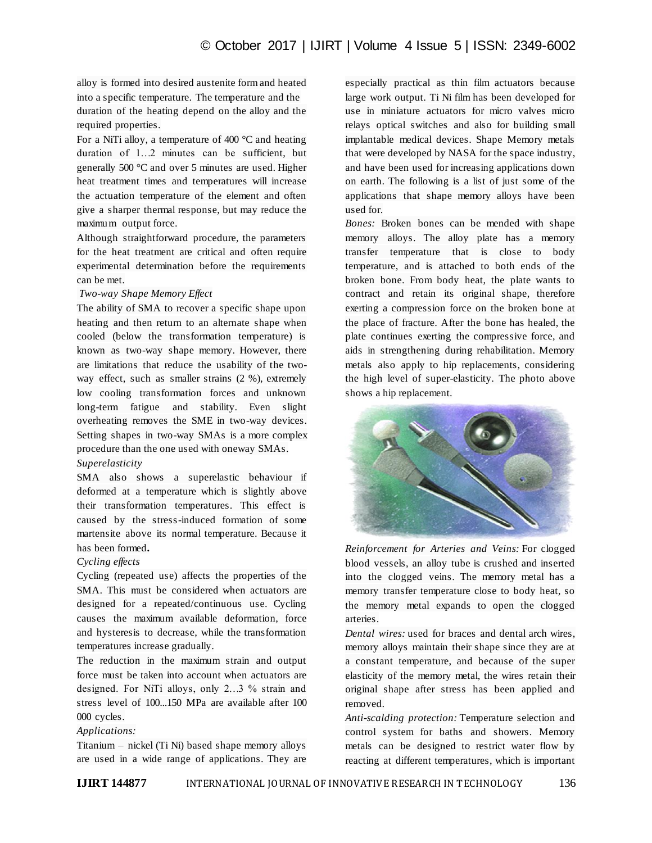alloy is formed into desired austenite form and heated into a specific temperature. The temperature and the duration of the heating depend on the alloy and the required properties.

For a NiTi alloy, a temperature of 400 °C and heating duration of 1…2 minutes can be sufficient, but generally 500 °C and over 5 minutes are used. Higher heat treatment times and temperatures will increase the actuation temperature of the element and often give a sharper thermal response, but may reduce the maximum output force.

Although straightforward procedure, the parameters for the heat treatment are critical and often require experimental determination before the requirements can be met.

# *Two-way Shape Memory Effect*

The ability of SMA to recover a specific shape upon heating and then return to an alternate shape when cooled (below the transformation temperature) is known as two-way shape memory. However, there are limitations that reduce the usability of the twoway effect, such as smaller strains (2 %), extremely low cooling transformation forces and unknown long-term fatigue and stability. Even slight overheating removes the SME in two-way devices. Setting shapes in two-way SMAs is a more complex procedure than the one used with oneway SMAs.

### *Superelasticity*

SMA also shows a superelastic behaviour if deformed at a temperature which is slightly above their transformation temperatures. This effect is caused by the stress-induced formation of some martensite above its normal temperature. Because it has been formed**.**

# *Cycling effects*

Cycling (repeated use) affects the properties of the SMA. This must be considered when actuators are designed for a repeated/continuous use. Cycling causes the maximum available deformation, force and hysteresis to decrease, while the transformation temperatures increase gradually.

The reduction in the maximum strain and output force must be taken into account when actuators are designed. For NiTi alloys, only 2…3 % strain and stress level of 100...150 MPa are available after 100 000 cycles.

# *Applications:*

Titanium – nickel (Ti Ni) based shape memory alloys are used in a wide range of applications. They are especially practical as thin film actuators because large work output. Ti Ni film has been developed for use in miniature actuators for micro valves micro relays optical switches and also for building small implantable medical devices. Shape Memory metals that were developed by NASA for the space industry, and have been used for increasing applications down on earth. The following is a list of just some of the applications that shape memory alloys have been used for.

*Bones:* Broken bones can be mended with shape memory alloys. The alloy plate has a memory transfer temperature that is close to body temperature, and is attached to both ends of the broken bone. From body heat, the plate wants to contract and retain its original shape, therefore exerting a compression force on the broken bone at the place of fracture. After the bone has healed, the plate continues exerting the compressive force, and aids in strengthening during rehabilitation. Memory metals also apply to hip replacements, considering the high level of super-elasticity. The photo above shows a hip replacement.



*Reinforcement for Arteries and Veins:* For clogged blood vessels, an alloy tube is crushed and inserted into the clogged veins. The memory metal has a memory transfer temperature close to body heat, so the memory metal expands to open the clogged arteries.

*Dental wires:* used for braces and dental arch wires, memory alloys maintain their shape since they are at a constant temperature, and because of the super elasticity of the memory metal, the wires retain their original shape after stress has been applied and removed.

*Anti-scalding protection:* Temperature selection and control system for baths and showers. Memory metals can be designed to restrict water flow by reacting at different temperatures, which is important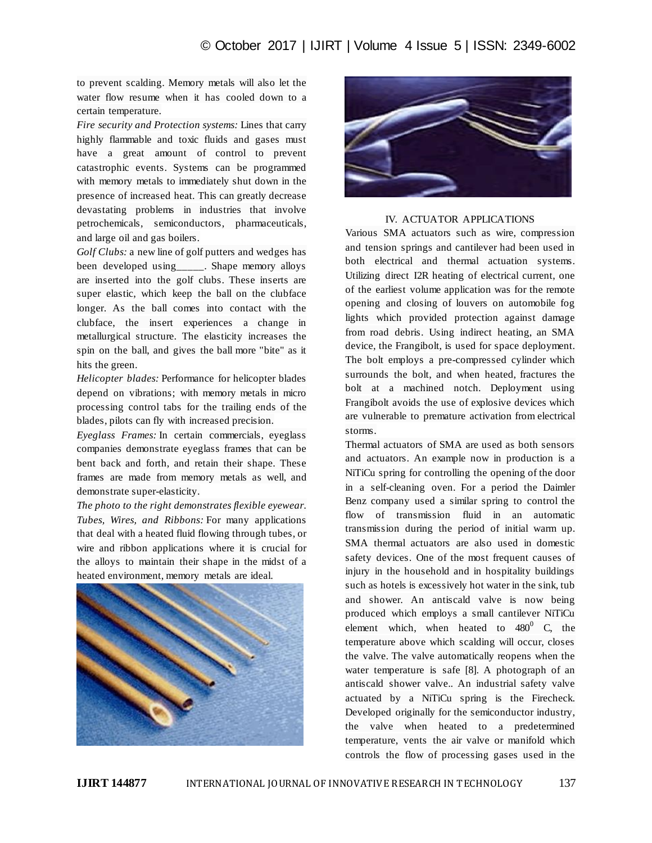to prevent scalding. Memory metals will also let the water flow resume when it has cooled down to a certain temperature.

*Fire security and Protection systems:* Lines that carry highly flammable and toxic fluids and gases must have a great amount of control to prevent catastrophic events. Systems can be programmed with memory metals to immediately shut down in the presence of increased heat. This can greatly decrease devastating problems in industries that involve petrochemicals, semiconductors, pharmaceuticals, and large oil and gas boilers.

*Golf Clubs:* a new line of golf putters and wedges has been developed using . Shape memory alloys are inserted into the golf clubs. These inserts are super elastic, which keep the ball on the clubface longer. As the ball comes into contact with the clubface, the insert experiences a change in metallurgical structure. The elasticity increases the spin on the ball, and gives the ball more "bite" as it hits the green.

*Helicopter blades:* Performance for helicopter blades depend on vibrations; with memory metals in micro processing control tabs for the trailing ends of the blades, pilots can fly with increased precision.

*Eyeglass Frames:* In certain commercials, eyeglass companies demonstrate eyeglass frames that can be bent back and forth, and retain their shape. These frames are made from memory metals as well, and demonstrate super-elasticity.

*The photo to the right demonstrates flexible eyewear. Tubes, Wires, and Ribbons:* For many applications that deal with a heated fluid flowing through tubes, or wire and ribbon applications where it is crucial for the alloys to maintain their shape in the midst of a heated environment, memory metals are ideal.





#### IV. ACTUATOR APPLICATIONS

Various SMA actuators such as wire, compression and tension springs and cantilever had been used in both electrical and thermal actuation systems. Utilizing direct I2R heating of electrical current, one of the earliest volume application was for the remote opening and closing of louvers on automobile fog lights which provided protection against damage from road debris. Using indirect heating, an SMA device, the Frangibolt, is used for space deployment. The bolt employs a pre-compressed cylinder which surrounds the bolt, and when heated, fractures the bolt at a machined notch. Deployment using Frangibolt avoids the use of explosive devices which are vulnerable to premature activation from electrical storms.

Thermal actuators of SMA are used as both sensors and actuators. An example now in production is a NiTiCu spring for controlling the opening of the door in a self-cleaning oven. For a period the Daimler Benz company used a similar spring to control the flow of transmission fluid in an automatic transmission during the period of initial warm up. SMA thermal actuators are also used in domestic safety devices. One of the most frequent causes of injury in the household and in hospitality buildings such as hotels is excessively hot water in the sink, tub and shower. An antiscald valve is now being produced which employs a small cantilever NiTiCu element which, when heated to  $480^0$  C, the temperature above which scalding will occur, closes the valve. The valve automatically reopens when the water temperature is safe [8]. A photograph of an antiscald shower valve.. An industrial safety valve actuated by a NiTiCu spring is the Firecheck. Developed originally for the semiconductor industry, the valve when heated to a predetermined temperature, vents the air valve or manifold which controls the flow of processing gases used in the